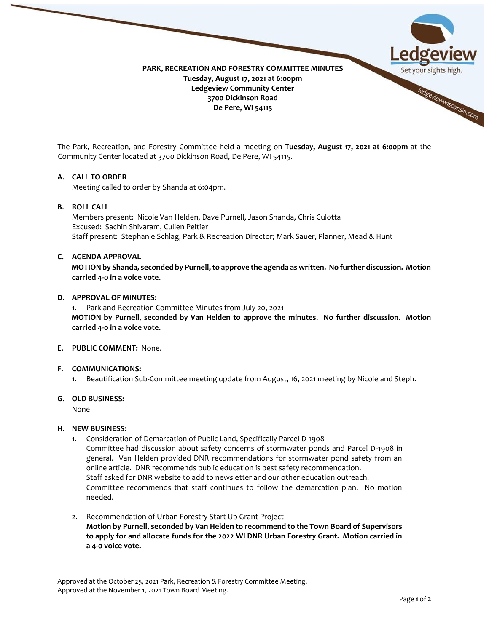

The Park, Recreation, and Forestry Committee held a meeting on **Tuesday, August 17, 2021 at 6:00pm** at the Community Center located at 3700 Dickinson Road, De Pere, WI 54115.

## **A. CALL TO ORDER**

Meeting called to order by Shanda at 6:04pm.

# **B. ROLL CALL**

Members present: Nicole Van Helden, Dave Purnell, Jason Shanda, Chris Culotta Excused: Sachin Shivaram, Cullen Peltier Staff present: Stephanie Schlag, Park & Recreation Director; Mark Sauer, Planner, Mead & Hunt

## **C. AGENDA APPROVAL**

**MOTION by Shanda, seconded by Purnell,to approve the agenda as written. No further discussion. Motion carried 4-0 in a voice vote.** 

## **D. APPROVAL OF MINUTES:**

1. Park and Recreation Committee Minutes from July 20, 2021 **MOTION by Purnell, seconded by Van Helden to approve the minutes. No further discussion. Motion carried 4-0 in a voice vote.** 

# **E. PUBLIC COMMENT:** None.

## **F. COMMUNICATIONS:**

1. Beautification Sub-Committee meeting update from August, 16, 2021 meeting by Nicole and Steph.

#### **G. OLD BUSINESS:**

None

## **H. NEW BUSINESS:**

- 1. Consideration of Demarcation of Public Land, Specifically Parcel D-1908 Committee had discussion about safety concerns of stormwater ponds and Parcel D-1908 in general. Van Helden provided DNR recommendations for stormwater pond safety from an online article. DNR recommends public education is best safety recommendation. Staff asked for DNR website to add to newsletter and our other education outreach. Committee recommends that staff continues to follow the demarcation plan. No motion needed.
- 2. Recommendation of Urban Forestry Start Up Grant Project **Motion by Purnell, seconded by Van Helden to recommend to the Town Board of Supervisors to apply for and allocate funds for the 2022 WI DNR Urban Forestry Grant. Motion carried in a 4-0 voice vote.**